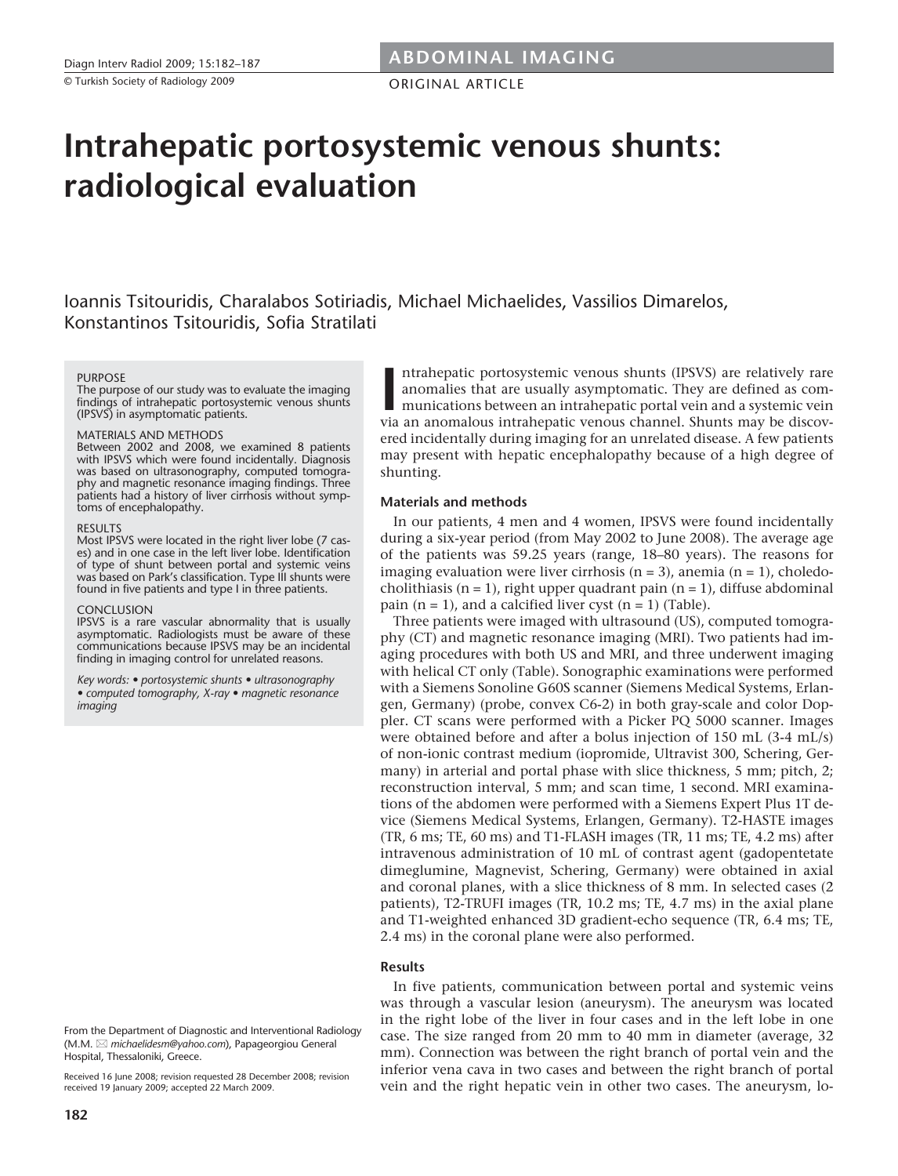ORIGINAL ARTICLE

# **Intrahepatic portosystemic venous shunts: radiological evaluation**

Ioannis Tsitouridis, Charalabos Sotiriadis, Michael Michaelides, Vassilios Dimarelos, Konstantinos Tsitouridis, Sofia Stratilati

#### **PURPOSE**

The purpose of our study was to evaluate the imaging findings of intrahepatic portosystemic venous shunts (IPSVS) in asymptomatic patients.

## MATERIALS AND METHODS

Between 2002 and 2008, we examined 8 patients with IPSVS which were found incidentally. Diagnosis was based on ultrasonography, computed tomography and magnetic resonance imaging findings. Three patients had a history of liver cirrhosis without symptoms of encephalopathy.

### RESULTS

Most IPSVS were located in the right liver lobe (7 cases) and in one case in the left liver lobe. Identification of type of shunt between portal and systemic veins was based on Park's classification. Type III shunts were found in five patients and type I in three patients.

#### CONCLUSION

IPSVS is a rare vascular abnormality that is usually asymptomatic. Radiologists must be aware of these communications because IPSVS may be an incidental finding in imaging control for unrelated reasons.

*Key words: • portosystemic shunts • ultrasonography • computed tomography, X-ray • magnetic resonance imaging*

From the Department of Diagnostic and Interventional Radiology (M.M.  *michaelidesm@yahoo.com*), Papageorgiou General Hospital, Thessaloniki, Greece.

Received 16 June 2008; revision requested 28 December 2008; revision received 19 January 2009; accepted 22 March 2009.

Intrahepatic portosystemic venous shunts (IPSVS) are relatively rare anomalies that are usually asymptomatic. They are defined as communications between an intrahepatic portal vein and a systemic vein via an anomalous intr ntrahepatic portosystemic venous shunts (IPSVS) are relatively rare anomalies that are usually asymptomatic. They are defined as communications between an intrahepatic portal vein and a systemic vein ered incidentally during imaging for an unrelated disease. A few patients may present with hepatic encephalopathy because of a high degree of shunting.

# **Materials and methods**

In our patients, 4 men and 4 women, IPSVS were found incidentally during a six-year period (from May 2002 to June 2008). The average age of the patients was 59.25 years (range, 18–80 years). The reasons for imaging evaluation were liver cirrhosis ( $n = 3$ ), anemia ( $n = 1$ ), choledocholithiasis (n = 1), right upper quadrant pain (n = 1), diffuse abdominal pain  $(n = 1)$ , and a calcified liver cyst  $(n = 1)$  (Table).

Three patients were imaged with ultrasound (US), computed tomography (CT) and magnetic resonance imaging (MRI). Two patients had imaging procedures with both US and MRI, and three underwent imaging with helical CT only (Table). Sonographic examinations were performed with a Siemens Sonoline G60S scanner (Siemens Medical Systems, Erlangen, Germany) (probe, convex C6-2) in both gray-scale and color Doppler. CT scans were performed with a Picker PQ 5000 scanner. Images were obtained before and after a bolus injection of 150 mL (3-4 mL/s) of non-ionic contrast medium (iopromide, Ultravist 300, Schering, Germany) in arterial and portal phase with slice thickness, 5 mm; pitch, 2; reconstruction interval, 5 mm; and scan time, 1 second. MRI examinations of the abdomen were performed with a Siemens Expert Plus 1T device (Siemens Medical Systems, Erlangen, Germany). T2-HASTE images (TR, 6 ms; TE, 60 ms) and T1-FLASH images (TR, 11 ms; TE, 4.2 ms) after intravenous administration of 10 mL of contrast agent (gadopentetate dimeglumine, Magnevist, Schering, Germany) were obtained in axial and coronal planes, with a slice thickness of 8 mm. In selected cases (2 patients), T2-TRUFI images (TR, 10.2 ms; TE, 4.7 ms) in the axial plane and T1-weighted enhanced 3D gradient-echo sequence (TR, 6.4 ms; TE, 2.4 ms) in the coronal plane were also performed.

## **Results**

In five patients, communication between portal and systemic veins was through a vascular lesion (aneurysm). The aneurysm was located in the right lobe of the liver in four cases and in the left lobe in one case. The size ranged from 20 mm to 40 mm in diameter (average, 32 mm). Connection was between the right branch of portal vein and the inferior vena cava in two cases and between the right branch of portal vein and the right hepatic vein in other two cases. The aneurysm, lo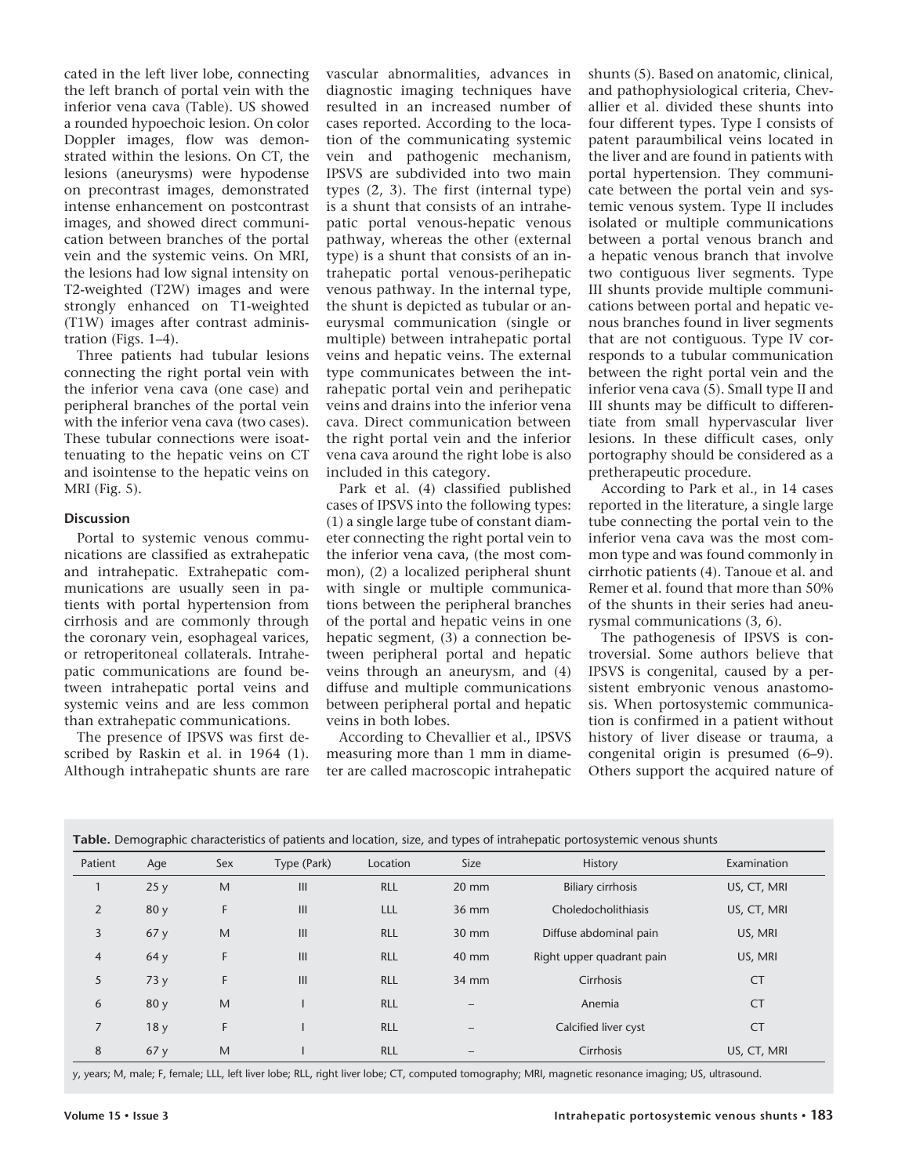cated in the left liver lobe, connecting the left branch of portal vein with the inferior vena cava (Table). US showed a rounded hypoechoic lesion. On color Doppler images, flow was demonstrated within the lesions. On CT, the lesions (aneurysms) were hypodense on precontrast images, demonstrated intense enhancement on postcontrast images, and showed direct communication between branches of the portal vein and the systemic veins. On MRI, the lesions had low signal intensity on T2-weighted (T2W) images and were strongly enhanced on T1-weighted (T1W) images after contrast administration (Figs. 1–4).

Three patients had tubular lesions connecting the right portal vein with the inferior vena cava (one case) and peripheral branches of the portal vein with the inferior vena cava (two cases). These tubular connections were isoattenuating to the hepatic veins on CT and isointense to the hepatic veins on MRI (Fig. 5).

# **Discussion**

Portal to systemic venous communications are classified as extrahepatic and intrahepatic. Extrahepatic communications are usually seen in patients with portal hypertension from cirrhosis and are commonly through the coronary vein, esophageal varices, or retroperitoneal collaterals. Intrahepatic communications are found between intrahepatic portal veins and systemic veins and are less common than extrahepatic communications.

The presence of IPSVS was first described by Raskin et al. in 1964 (1). Although intrahepatic shunts are rare vascular abnormalities, advances in diagnostic imaging techniques have resulted in an increased number of cases reported. According to the location of the communicating systemic vein and pathogenic mechanism, IPSVS are subdivided into two main types (2, 3). The first (internal type) is a shunt that consists of an intrahepatic portal venous-hepatic venous pathway, whereas the other (external type) is a shunt that consists of an intrahepatic portal venous-perihepatic venous pathway. In the internal type, the shunt is depicted as tubular or aneurysmal communication (single or multiple) between intrahepatic portal veins and hepatic veins. The external type communicates between the intrahepatic portal vein and perihepatic veins and drains into the inferior vena cava. Direct communication between the right portal vein and the inferior vena cava around the right lobe is also included in this category.

Park et al. (4) classified published cases of IPSVS into the following types: (1) a single large tube of constant diameter connecting the right portal vein to the inferior vena cava, (the most common), (2) a localized peripheral shunt with single or multiple communications between the peripheral branches of the portal and hepatic veins in one hepatic segment, (3) a connection between peripheral portal and hepatic veins through an aneurysm, and (4) diffuse and multiple communications between peripheral portal and hepatic veins in both lobes.

According to Chevallier et al., IPSVS measuring more than 1 mm in diameter are called macroscopic intrahepatic

shunts (5). Based on anatomic, clinical, and pathophysiological criteria, Chevallier et al. divided these shunts into four different types. Type I consists of patent paraumbilical veins located in the liver and are found in patients with portal hypertension. They communicate between the portal vein and systemic venous system. Type II includes isolated or multiple communications between a portal venous branch and a hepatic venous branch that involve two contiguous liver segments. Type III shunts provide multiple communications between portal and hepatic venous branches found in liver segments that are not contiguous. Type IV corresponds to a tubular communication between the right portal vein and the inferior vena cava (5). Small type II and III shunts may be difficult to differentiate from small hypervascular liver lesions. In these difficult cases, only portography should be considered as a pretherapeutic procedure.

According to Park et al., in 14 cases reported in the literature, a single large tube connecting the portal vein to the inferior vena cava was the most common type and was found commonly in cirrhotic patients (4). Tanoue et al. and Remer et al. found that more than 50% of the shunts in their series had aneurysmal communications (3, 6).

The pathogenesis of IPSVS is controversial. Some authors believe that IPSVS is congenital, caused by a persistent embryonic venous anastomosis. When portosystemic communication is confirmed in a patient without history of liver disease or trauma, a congenital origin is presumed (6–9). Others support the acquired nature of

| Patient        | Age  | Sex | Type (Park)                           | Location   | Size                     | <b>History</b>            | Examination |
|----------------|------|-----|---------------------------------------|------------|--------------------------|---------------------------|-------------|
|                | 25y  | M   | III                                   | <b>RLL</b> | $20 \text{ mm}$          | <b>Biliary cirrhosis</b>  | US, CT, MRI |
| 2              | 80 y | F.  | $\begin{array}{c} \hline \end{array}$ | LLL        | 36 mm                    | Choledocholithiasis       | US, CT, MRI |
| 3              | 67y  | M   | III                                   | <b>RLL</b> | 30 mm                    | Diffuse abdominal pain    | US, MRI     |
| $\overline{4}$ | 64y  | F   | III                                   | <b>RLL</b> | 40 mm                    | Right upper quadrant pain | US, MRI     |
| 5              | 73y  | F   | III                                   | <b>RLL</b> | 34 mm                    | Cirrhosis                 | <b>CT</b>   |
| 6              | 80 y | M   |                                       | <b>RLL</b> | $\overline{\phantom{0}}$ | Anemia                    | <b>CT</b>   |
| 7              | 18y  | F.  |                                       | <b>RLL</b> |                          | Calcified liver cyst      | <b>CT</b>   |
| 8              | 67y  | M   |                                       | <b>RLL</b> | $\overline{\phantom{0}}$ | Cirrhosis                 | US, CT, MRI |

y, years; M, male; F, female; LLL, left liver lobe; RLL, right liver lobe; CT, computed tomography; MRI, magnetic resonance imaging; US, ultrasound.

**Table.** Demographic characteristics of patients and location, size, and types of intrahepatic portosystemic venous shunts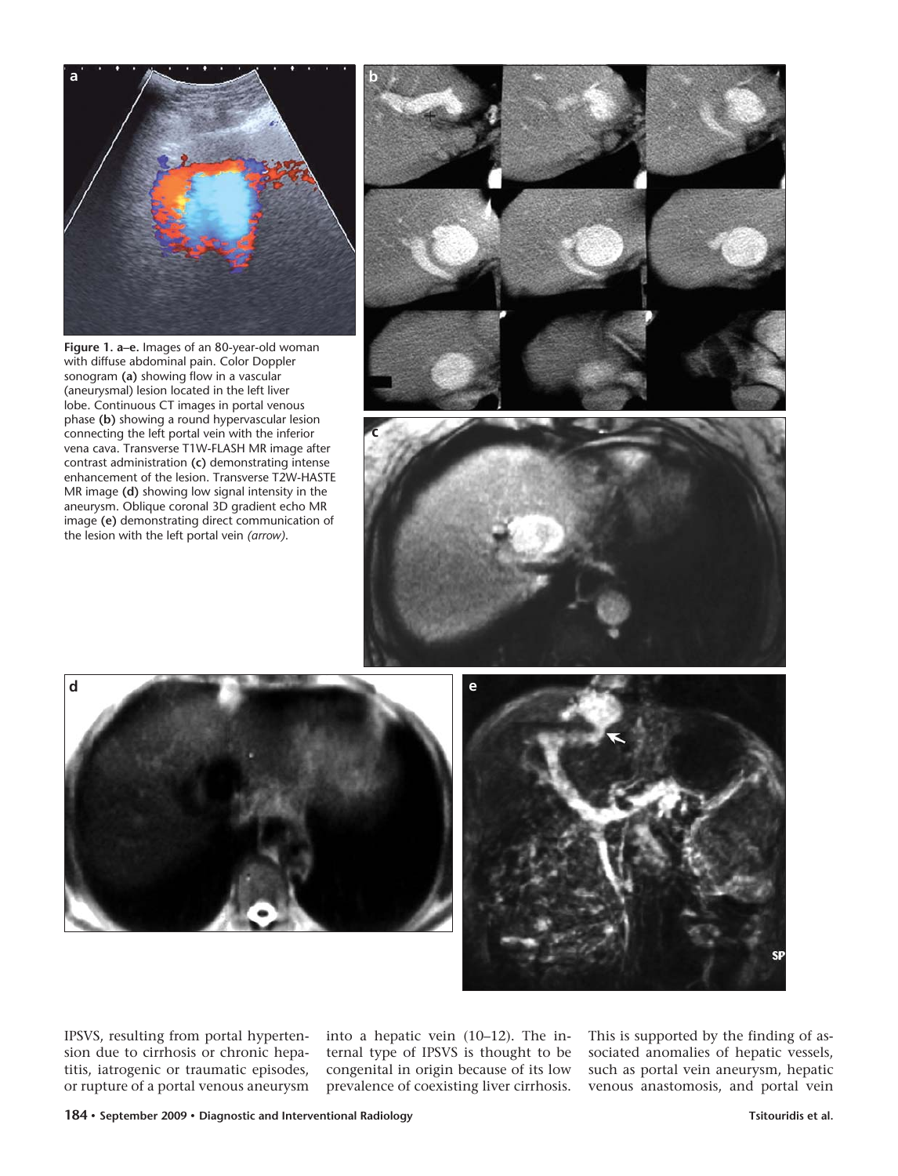

**Figure 1. a–e.** Images of an 80-year-old woman with diffuse abdominal pain. Color Doppler sonogram **(a)** showing flow in a vascular (aneurysmal) lesion located in the left liver lobe. Continuous CT images in portal venous phase **(b)** showing a round hypervascular lesion connecting the left portal vein with the inferior vena cava. Transverse T1W-FLASH MR image after contrast administration **(c)** demonstrating intense enhancement of the lesion. Transverse T2W-HASTE MR image **(d)** showing low signal intensity in the aneurysm. Oblique coronal 3D gradient echo MR image **(e)** demonstrating direct communication of the lesion with the left portal vein *(arrow)*.







IPSVS, resulting from portal hypertension due to cirrhosis or chronic hepatitis, iatrogenic or traumatic episodes, or rupture of a portal venous aneurysm

into a hepatic vein (10–12). The internal type of IPSVS is thought to be congenital in origin because of its low prevalence of coexisting liver cirrhosis.

This is supported by the finding of associated anomalies of hepatic vessels, such as portal vein aneurysm, hepatic venous anastomosis, and portal vein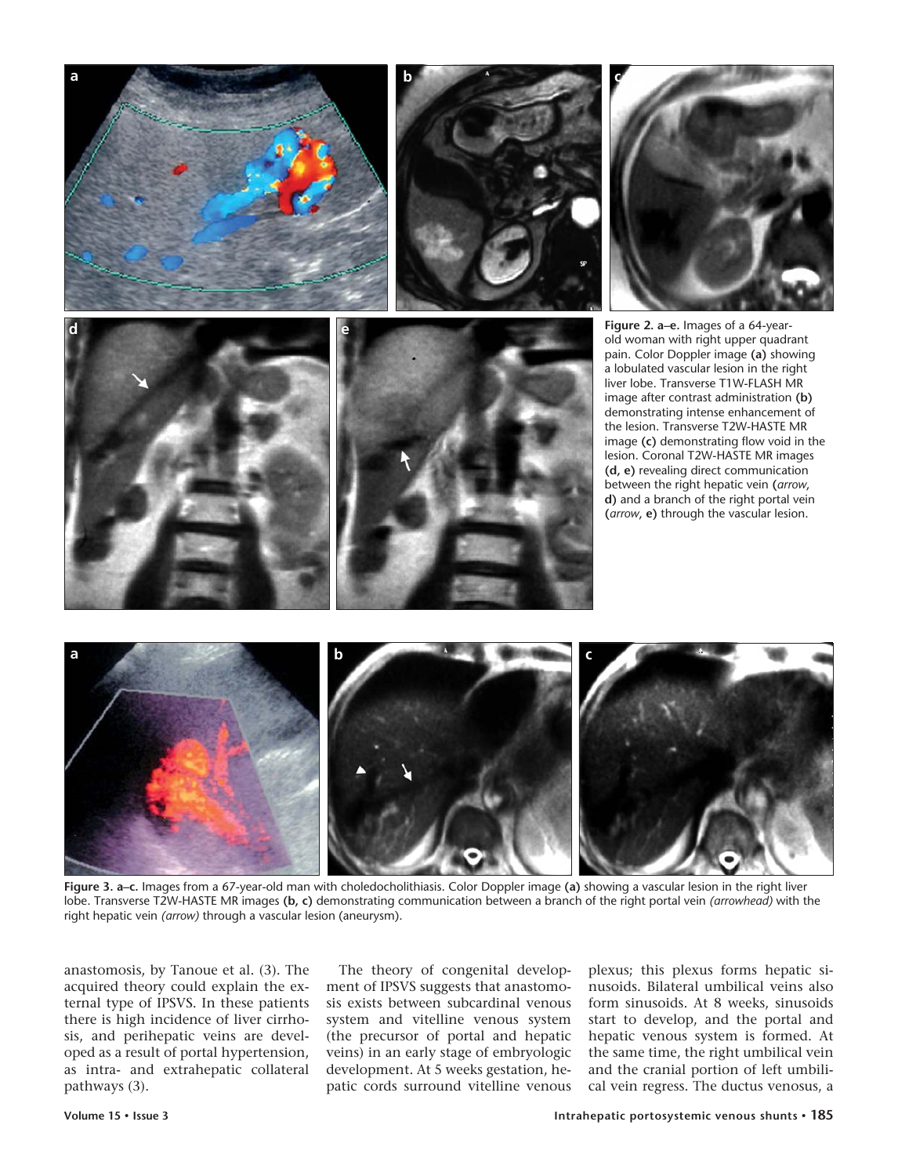













**Figure 3. a–c.** Images from a 67-year-old man with choledocholithiasis. Color Doppler image **(a)** showing a vascular lesion in the right liver lobe. Transverse T2W-HASTE MR images **(b, c)** demonstrating communication between a branch of the right portal vein *(arrowhead)* with the right hepatic vein *(arrow)* through a vascular lesion (aneurysm).

anastomosis, by Tanoue et al. (3). The acquired theory could explain the external type of IPSVS. In these patients there is high incidence of liver cirrhosis, and perihepatic veins are developed as a result of portal hypertension, as intra- and extrahepatic collateral pathways (3).

The theory of congenital development of IPSVS suggests that anastomosis exists between subcardinal venous system and vitelline venous system (the precursor of portal and hepatic veins) in an early stage of embryologic development. At 5 weeks gestation, hepatic cords surround vitelline venous

plexus; this plexus forms hepatic sinusoids. Bilateral umbilical veins also form sinusoids. At 8 weeks, sinusoids start to develop, and the portal and hepatic venous system is formed. At the same time, the right umbilical vein and the cranial portion of left umbilical vein regress. The ductus venosus, a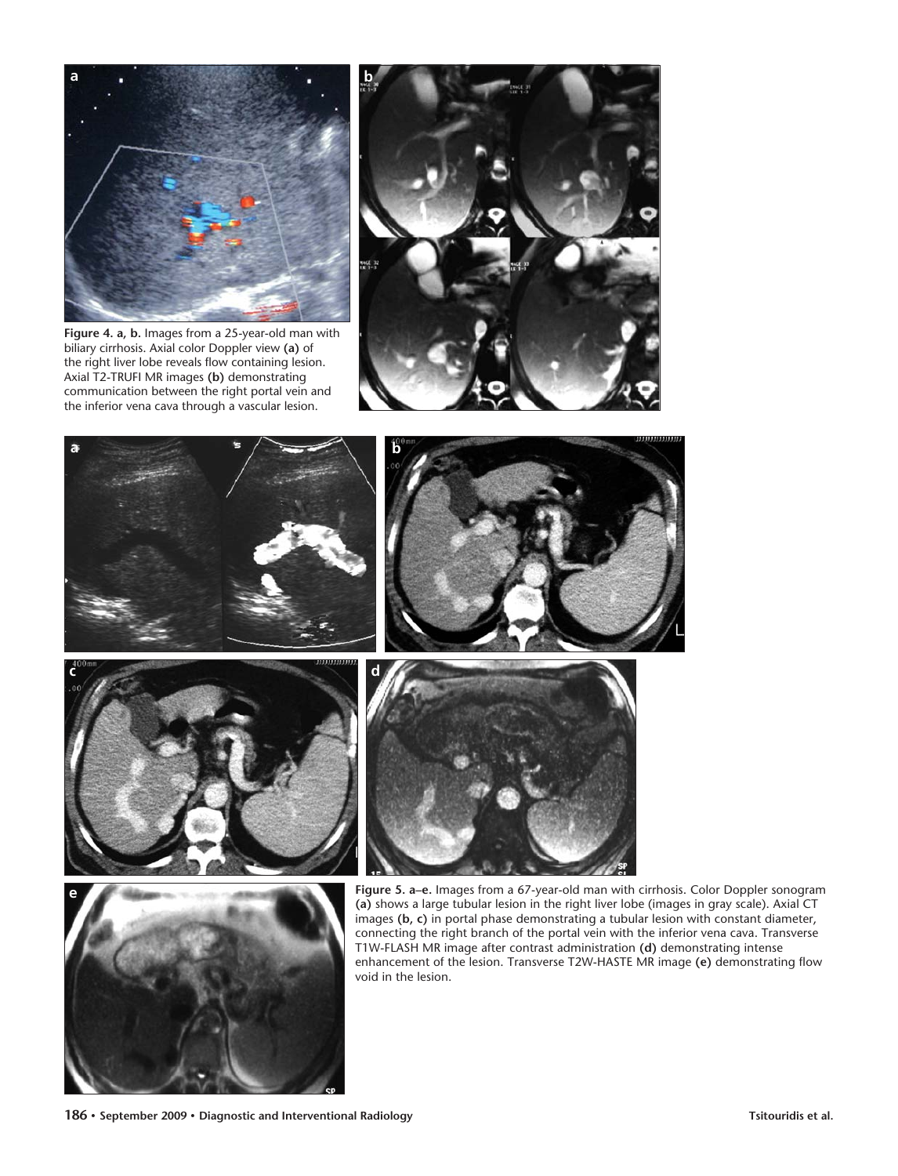

**Figure 4. a, b.** Images from a 25-year-old man with biliary cirrhosis. Axial color Doppler view **(a)** of the right liver lobe reveals flow containing lesion. Axial T2-TRUFI MR images **(b)** demonstrating communication between the right portal vein and the inferior vena cava through a vascular lesion.







**Figure 5. a–e.** Images from a 67-year-old man with cirrhosis. Color Doppler sonogram **(a)** shows a large tubular lesion in the right liver lobe (images in gray scale). Axial CT images **(b, c)** in portal phase demonstrating a tubular lesion with constant diameter, connecting the right branch of the portal vein with the inferior vena cava. Transverse T1W-FLASH MR image after contrast administration **(d)** demonstrating intense enhancement of the lesion. Transverse T2W-HASTE MR image **(e)** demonstrating flow void in the lesion.